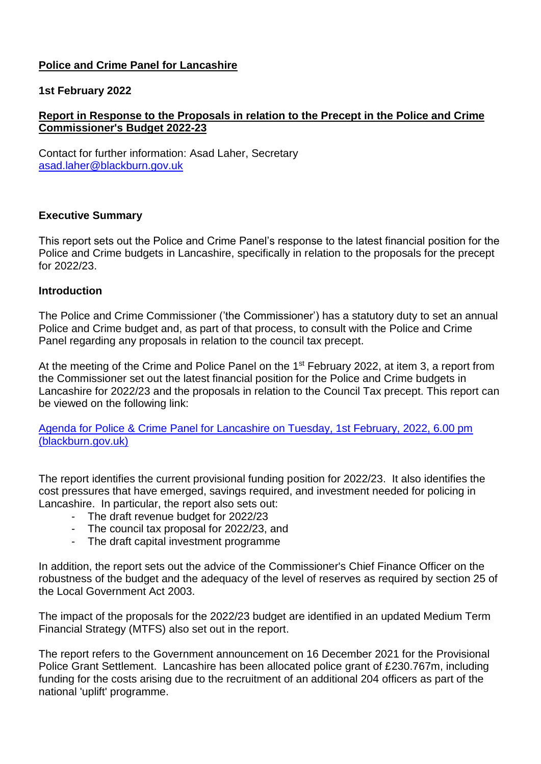# **Police and Crime Panel for Lancashire**

## **1st February 2022**

# **Report in Response to the Proposals in relation to the Precept in the Police and Crime Commissioner's Budget 2022-23**

Contact for further information: Asad Laher, Secretary [asad.laher@blackburn.gov.uk](mailto:asad.laher@blackburn.gov.uk)

## **Executive Summary**

This report sets out the Police and Crime Panel's response to the latest financial position for the Police and Crime budgets in Lancashire, specifically in relation to the proposals for the precept for 2022/23.

#### **Introduction**

The Police and Crime Commissioner ('the Commissioner') has a statutory duty to set an annual Police and Crime budget and, as part of that process, to consult with the Police and Crime Panel regarding any proposals in relation to the council tax precept.

At the meeting of the Crime and Police Panel on the 1<sup>st</sup> February 2022, at item 3, a report from the Commissioner set out the latest financial position for the Police and Crime budgets in Lancashire for 2022/23 and the proposals in relation to the Council Tax precept. This report can be viewed on the following link:

[Agenda for Police & Crime Panel for Lancashire on Tuesday, 1st February, 2022, 6.00 pm](https://democracy.blackburn.gov.uk/ieListDocuments.aspx?CId=200&MId=3267&Ver=4)  [\(blackburn.gov.uk\)](https://democracy.blackburn.gov.uk/ieListDocuments.aspx?CId=200&MId=3267&Ver=4)

The report identifies the current provisional funding position for 2022/23. It also identifies the cost pressures that have emerged, savings required, and investment needed for policing in Lancashire. In particular, the report also sets out:

- The draft revenue budget for 2022/23
- The council tax proposal for 2022/23, and
- The draft capital investment programme

In addition, the report sets out the advice of the Commissioner's Chief Finance Officer on the robustness of the budget and the adequacy of the level of reserves as required by section 25 of the Local Government Act 2003.

The impact of the proposals for the 2022/23 budget are identified in an updated Medium Term Financial Strategy (MTFS) also set out in the report.

The report refers to the Government announcement on 16 December 2021 for the Provisional Police Grant Settlement. Lancashire has been allocated police grant of £230.767m, including funding for the costs arising due to the recruitment of an additional 204 officers as part of the national 'uplift' programme.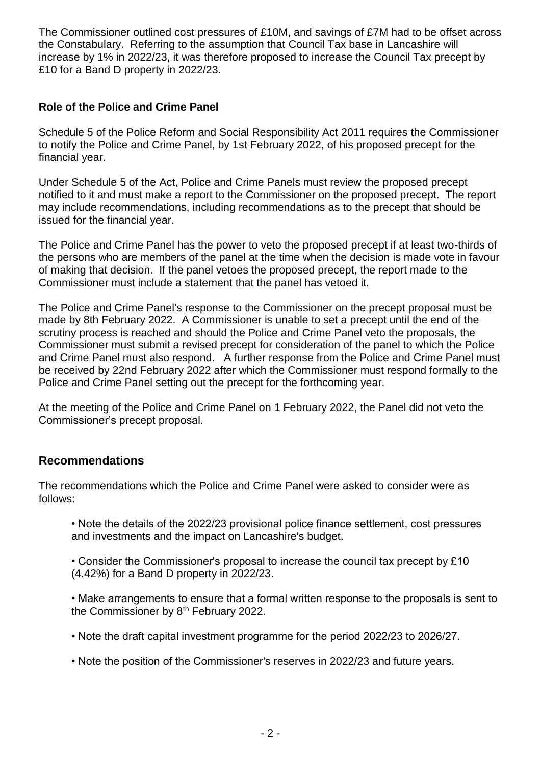The Commissioner outlined cost pressures of £10M, and savings of £7M had to be offset across the Constabulary. Referring to the assumption that Council Tax base in Lancashire will increase by 1% in 2022/23, it was therefore proposed to increase the Council Tax precept by £10 for a Band D property in 2022/23.

# **Role of the Police and Crime Panel**

Schedule 5 of the Police Reform and Social Responsibility Act 2011 requires the Commissioner to notify the Police and Crime Panel, by 1st February 2022, of his proposed precept for the financial year.

Under Schedule 5 of the Act, Police and Crime Panels must review the proposed precept notified to it and must make a report to the Commissioner on the proposed precept. The report may include recommendations, including recommendations as to the precept that should be issued for the financial year.

The Police and Crime Panel has the power to veto the proposed precept if at least two-thirds of the persons who are members of the panel at the time when the decision is made vote in favour of making that decision. If the panel vetoes the proposed precept, the report made to the Commissioner must include a statement that the panel has vetoed it.

The Police and Crime Panel's response to the Commissioner on the precept proposal must be made by 8th February 2022. A Commissioner is unable to set a precept until the end of the scrutiny process is reached and should the Police and Crime Panel veto the proposals, the Commissioner must submit a revised precept for consideration of the panel to which the Police and Crime Panel must also respond. A further response from the Police and Crime Panel must be received by 22nd February 2022 after which the Commissioner must respond formally to the Police and Crime Panel setting out the precept for the forthcoming year.

At the meeting of the Police and Crime Panel on 1 February 2022, the Panel did not veto the Commissioner's precept proposal.

# **Recommendations**

The recommendations which the Police and Crime Panel were asked to consider were as follows:

• Note the details of the 2022/23 provisional police finance settlement, cost pressures and investments and the impact on Lancashire's budget.

• Consider the Commissioner's proposal to increase the council tax precept by £10 (4.42%) for a Band D property in 2022/23.

• Make arrangements to ensure that a formal written response to the proposals is sent to the Commissioner by 8<sup>th</sup> February 2022.

• Note the draft capital investment programme for the period 2022/23 to 2026/27.

• Note the position of the Commissioner's reserves in 2022/23 and future years.